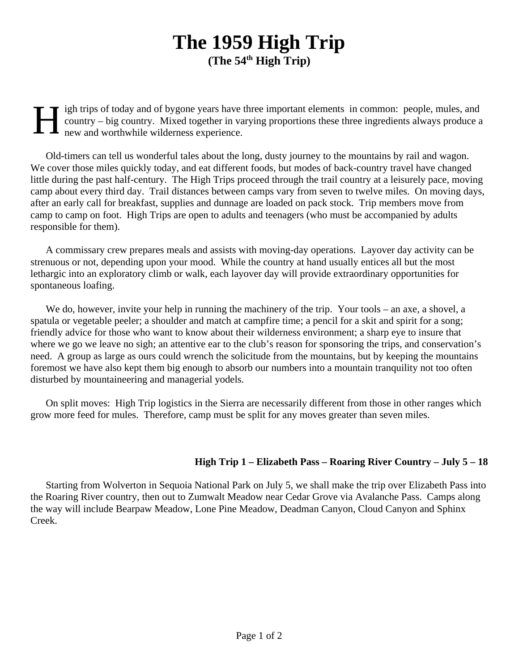## **The 1959 High Trip (The 54th High Trip)**

H igh trips of today and of bygone years have three important elements in common: people, mules, and country – big country. Mixed together in varying proportions these three ingredients always produce a new and worthwhile wilderness experience.

Old-timers can tell us wonderful tales about the long, dusty journey to the mountains by rail and wagon. We cover those miles quickly today, and eat different foods, but modes of back-country travel have changed little during the past half-century. The High Trips proceed through the trail country at a leisurely pace, moving camp about every third day. Trail distances between camps vary from seven to twelve miles. On moving days, after an early call for breakfast, supplies and dunnage are loaded on pack stock. Trip members move from camp to camp on foot. High Trips are open to adults and teenagers (who must be accompanied by adults responsible for them).

A commissary crew prepares meals and assists with moving-day operations. Layover day activity can be strenuous or not, depending upon your mood. While the country at hand usually entices all but the most lethargic into an exploratory climb or walk, each layover day will provide extraordinary opportunities for spontaneous loafing.

We do, however, invite your help in running the machinery of the trip. Your tools – an axe, a shovel, a spatula or vegetable peeler; a shoulder and match at campfire time; a pencil for a skit and spirit for a song; friendly advice for those who want to know about their wilderness environment; a sharp eye to insure that where we go we leave no sigh; an attentive ear to the club's reason for sponsoring the trips, and conservation's need. A group as large as ours could wrench the solicitude from the mountains, but by keeping the mountains foremost we have also kept them big enough to absorb our numbers into a mountain tranquility not too often disturbed by mountaineering and managerial yodels.

On split moves: High Trip logistics in the Sierra are necessarily different from those in other ranges which grow more feed for mules. Therefore, camp must be split for any moves greater than seven miles.

## **High Trip 1 – Elizabeth Pass – Roaring River Country – July 5 – 18**

Starting from Wolverton in Sequoia National Park on July 5, we shall make the trip over Elizabeth Pass into the Roaring River country, then out to Zumwalt Meadow near Cedar Grove via Avalanche Pass. Camps along the way will include Bearpaw Meadow, Lone Pine Meadow, Deadman Canyon, Cloud Canyon and Sphinx Creek.